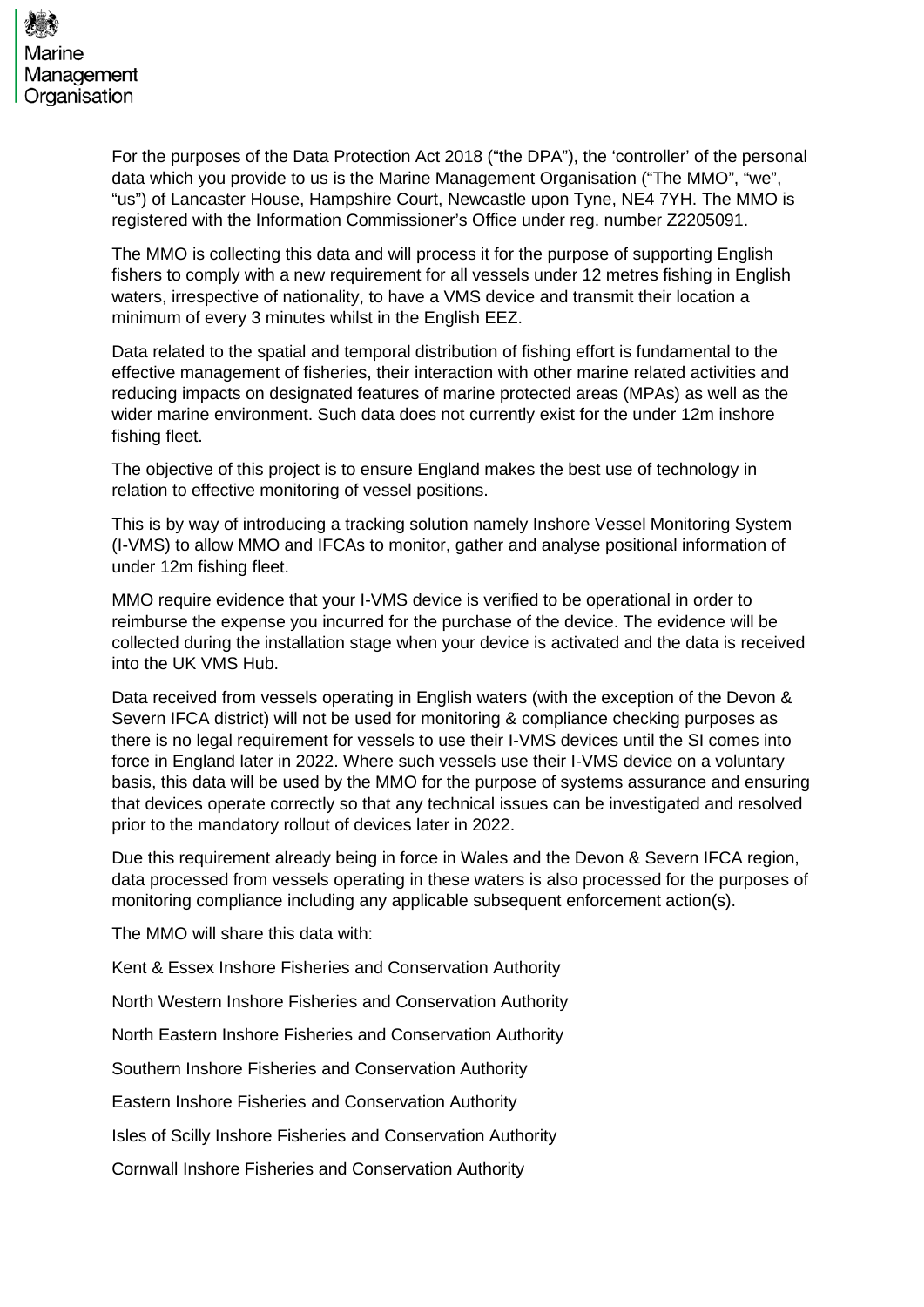

For the purposes of the Data Protection Act 2018 ("the DPA"), the 'controller' of the personal data which you provide to us is the Marine Management Organisation ("The MMO", "we", "us") of Lancaster House, Hampshire Court, Newcastle upon Tyne, NE4 7YH. The MMO is registered with the Information Commissioner's Office under reg. number Z2205091.

The MMO is collecting this data and will process it for the purpose of supporting English fishers to comply with a new requirement for all vessels under 12 metres fishing in English waters, irrespective of nationality, to have a VMS device and transmit their location a minimum of every 3 minutes whilst in the English EEZ.

Data related to the spatial and temporal distribution of fishing effort is fundamental to the effective management of fisheries, their interaction with other marine related activities and reducing impacts on designated features of marine protected areas (MPAs) as well as the wider marine environment. Such data does not currently exist for the under 12m inshore fishing fleet.

The objective of this project is to ensure England makes the best use of technology in relation to effective monitoring of vessel positions.

This is by way of introducing a tracking solution namely Inshore Vessel Monitoring System (I-VMS) to allow MMO and IFCAs to monitor, gather and analyse positional information of under 12m fishing fleet.

MMO require evidence that your I-VMS device is verified to be operational in order to reimburse the expense you incurred for the purchase of the device. The evidence will be collected during the installation stage when your device is activated and the data is received into the UK VMS Hub.

Data received from vessels operating in English waters (with the exception of the Devon & Severn IFCA district) will not be used for monitoring & compliance checking purposes as there is no legal requirement for vessels to use their I-VMS devices until the SI comes into force in England later in 2022. Where such vessels use their I-VMS device on a voluntary basis, this data will be used by the MMO for the purpose of systems assurance and ensuring that devices operate correctly so that any technical issues can be investigated and resolved prior to the mandatory rollout of devices later in 2022.

Due this requirement already being in force in Wales and the Devon & Severn IFCA region, data processed from vessels operating in these waters is also processed for the purposes of monitoring compliance including any applicable subsequent enforcement action(s).

The MMO will share this data with:

Kent & Essex Inshore Fisheries and Conservation Authority

North Western Inshore Fisheries and Conservation Authority

North Eastern Inshore Fisheries and Conservation Authority

Southern Inshore Fisheries and Conservation Authority

Eastern Inshore Fisheries and Conservation Authority

Isles of Scilly Inshore Fisheries and Conservation Authority

Cornwall Inshore Fisheries and Conservation Authority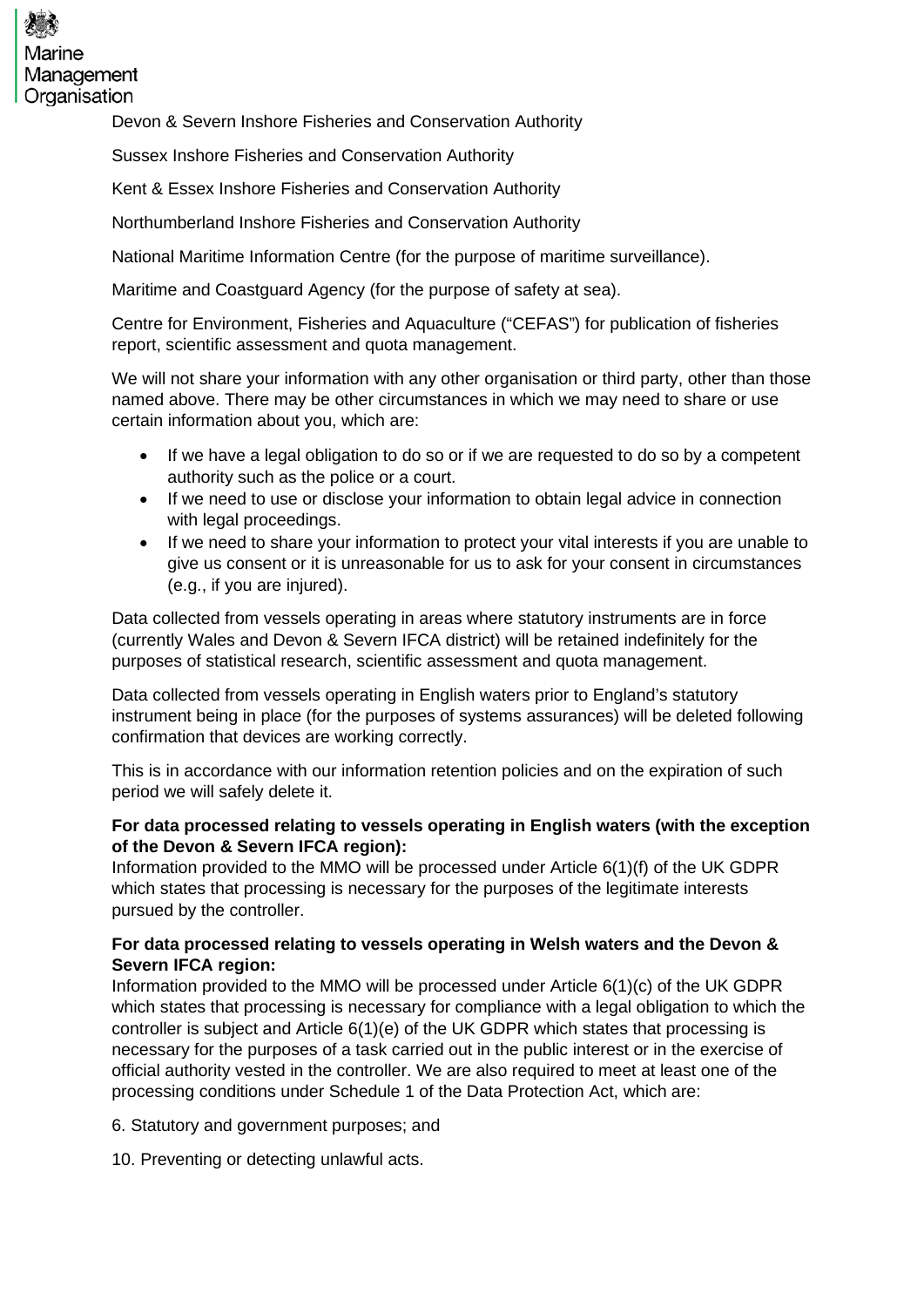

Devon & Severn Inshore Fisheries and Conservation Authority

Sussex Inshore Fisheries and Conservation Authority

Kent & Essex Inshore Fisheries and Conservation Authority

Northumberland Inshore Fisheries and Conservation Authority

National Maritime Information Centre (for the purpose of maritime surveillance).

Maritime and Coastguard Agency (for the purpose of safety at sea).

Centre for Environment, Fisheries and Aquaculture ("CEFAS") for publication of fisheries report, scientific assessment and quota management.

We will not share your information with any other organisation or third party, other than those named above. There may be other circumstances in which we may need to share or use certain information about you, which are:

- If we have a legal obligation to do so or if we are requested to do so by a competent authority such as the police or a court.
- If we need to use or disclose your information to obtain legal advice in connection with legal proceedings.
- If we need to share your information to protect your vital interests if you are unable to give us consent or it is unreasonable for us to ask for your consent in circumstances (e.g., if you are injured).

Data collected from vessels operating in areas where statutory instruments are in force (currently Wales and Devon & Severn IFCA district) will be retained indefinitely for the purposes of statistical research, scientific assessment and quota management.

Data collected from vessels operating in English waters prior to England's statutory instrument being in place (for the purposes of systems assurances) will be deleted following confirmation that devices are working correctly.

This is in accordance with our information retention policies and on the expiration of such period we will safely delete it.

## **For data processed relating to vessels operating in English waters (with the exception of the Devon & Severn IFCA region):**

Information provided to the MMO will be processed under Article 6(1)(f) of the UK GDPR which states that processing is necessary for the purposes of the legitimate interests pursued by the controller.

## **For data processed relating to vessels operating in Welsh waters and the Devon & Severn IFCA region:**

Information provided to the MMO will be processed under Article 6(1)(c) of the UK GDPR which states that processing is necessary for compliance with a legal obligation to which the controller is subject and Article 6(1)(e) of the UK GDPR which states that processing is necessary for the purposes of a task carried out in the public interest or in the exercise of official authority vested in the controller. We are also required to meet at least one of the processing conditions under Schedule 1 of the Data Protection Act, which are:

6. Statutory and government purposes; and

10. Preventing or detecting unlawful acts.